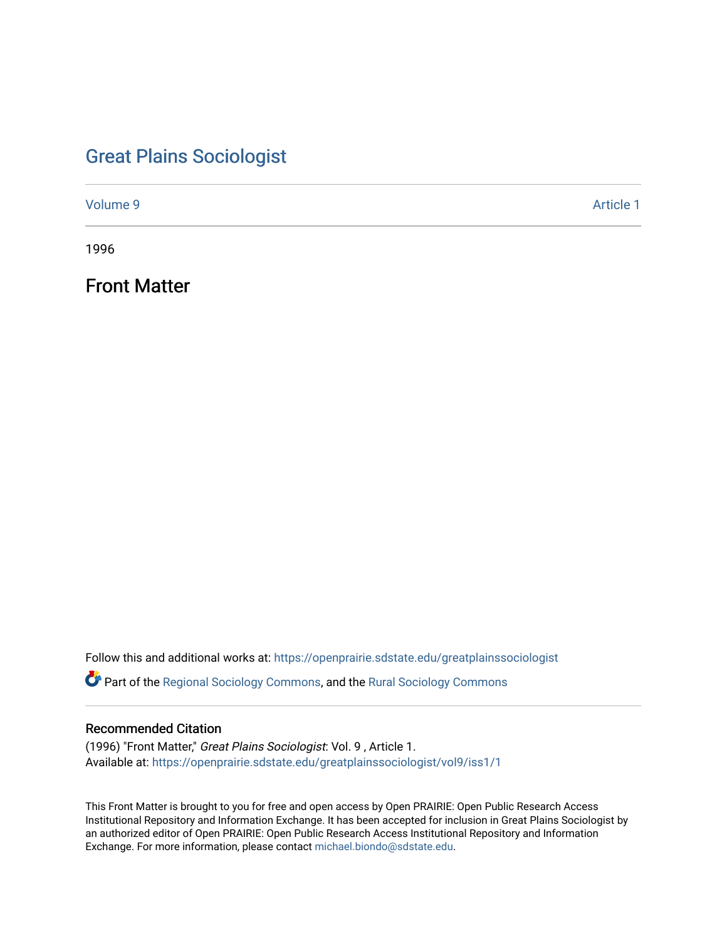# [Great Plains Sociologist](https://openprairie.sdstate.edu/greatplainssociologist)

[Volume 9](https://openprairie.sdstate.edu/greatplainssociologist/vol9) [Article 1](https://openprairie.sdstate.edu/greatplainssociologist/vol9/iss1/1) 

1996

Front Matter

Follow this and additional works at: [https://openprairie.sdstate.edu/greatplainssociologist](https://openprairie.sdstate.edu/greatplainssociologist?utm_source=openprairie.sdstate.edu%2Fgreatplainssociologist%2Fvol9%2Fiss1%2F1&utm_medium=PDF&utm_campaign=PDFCoverPages) 

Part of the [Regional Sociology Commons](http://network.bepress.com/hgg/discipline/427?utm_source=openprairie.sdstate.edu%2Fgreatplainssociologist%2Fvol9%2Fiss1%2F1&utm_medium=PDF&utm_campaign=PDFCoverPages), and the [Rural Sociology Commons](http://network.bepress.com/hgg/discipline/428?utm_source=openprairie.sdstate.edu%2Fgreatplainssociologist%2Fvol9%2Fiss1%2F1&utm_medium=PDF&utm_campaign=PDFCoverPages) 

#### Recommended Citation

(1996) "Front Matter," Great Plains Sociologist: Vol. 9 , Article 1. Available at: [https://openprairie.sdstate.edu/greatplainssociologist/vol9/iss1/1](https://openprairie.sdstate.edu/greatplainssociologist/vol9/iss1/1?utm_source=openprairie.sdstate.edu%2Fgreatplainssociologist%2Fvol9%2Fiss1%2F1&utm_medium=PDF&utm_campaign=PDFCoverPages) 

This Front Matter is brought to you for free and open access by Open PRAIRIE: Open Public Research Access Institutional Repository and Information Exchange. It has been accepted for inclusion in Great Plains Sociologist by an authorized editor of Open PRAIRIE: Open Public Research Access Institutional Repository and Information Exchange. For more information, please contact [michael.biondo@sdstate.edu.](mailto:michael.biondo@sdstate.edu)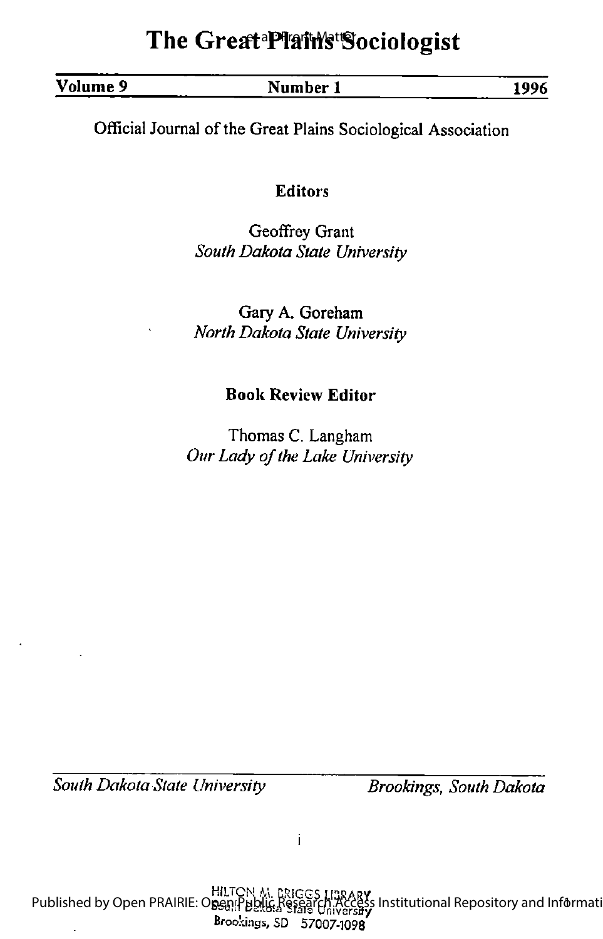# The Great<sup>a py</sup>ain's Sociologist

## Volume 9 Number 1 1996

Official Journal of the Great Plains Sociological Association

## Editors

Geoffrey Grant South Dakota State University

Gary A. Goreham North Dakota State University

## Book Review Editor

Thomas C. Langham Our Lady of the Lake University

South Dakota State University **Brookings**, South Dakota

 $\mathbf{i}$ 

HILTON M. DRIGGS LI3RARY Published by Open PRAIRIE: Open Public Research Access Institutional Repository and Informati Brookings, SD 57007-1098 s Institutional Repository and Informati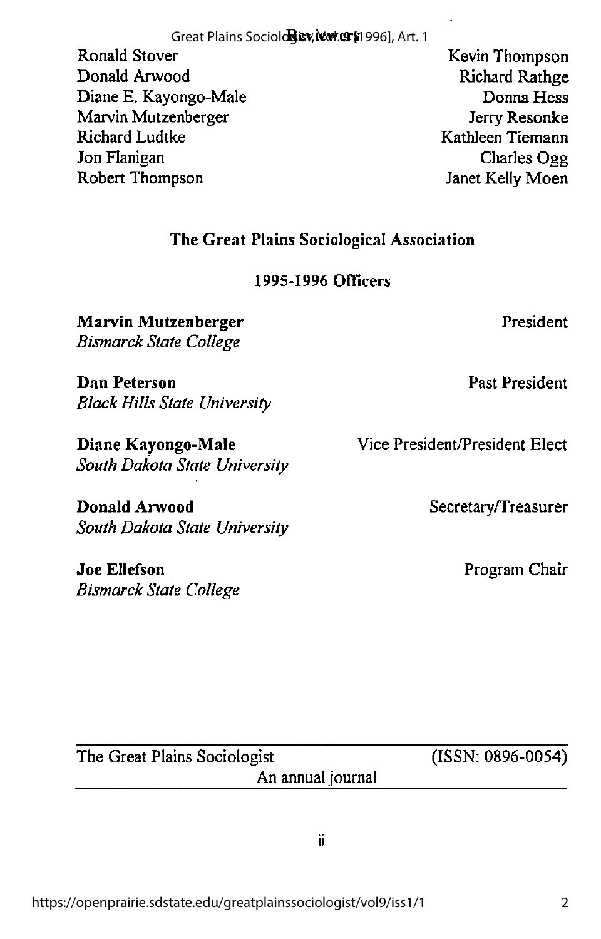Great Plains Sociol**ogev, เซพ.ยาร**ู1996], Art. 1

Ronald Stover Kevin Thompson Donald Arwood Richard Rathge Diane E. Kayongo-Male Donna Hess Marvin Mutzenberger and a state of the Jerry Resonke Richard Ludtke Kathleen Tiemann Jon Flanigan Charles Ogg Robert Thompson Janet Kelly Moen

The Great Plains Sociological Association

1995-1996 Officers

Marvin Mutzenberger President Bismarck State College

**Dan Peterson** Past President Black Hills State University

Diane Kayongo-Male Vice President/President Elect South Dakota State University

Donald Arwood Secretary/Treasurer South Dakota State University

Joe Ellefson Program Chair Bismarck State College

The Great Plains Sociologist (ISSN: 0896-0054)

ii.

An annual journal

2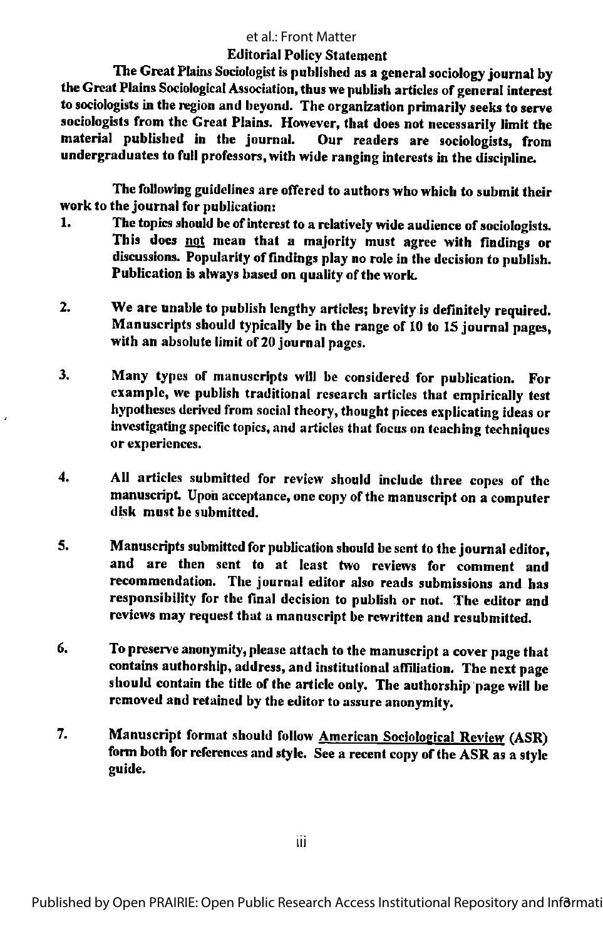#### et al.: Front Matter

#### Editorial Policy Statement

The Great Plains Sociologist is published as a general sociology journal by the Great Plains Sociological Association, thus we publish articles of general interest to sociologists in the region and beyond. The organization primarily seeks to serve sociologists from the Great Plains. However, that does not necessarily limit the material published in the journal. Our readers are sociologists, from undergraduates to full professors, with wide ranging interests in the discipline.

The following guidelines are offered to authors who which to submit their work to the journal for publication:

- 1. The topics should be of interest to a relatively wide audience of sociologists. This does not mean that a majority must agree with findings or discussions. Popularity of findings play no role in the decision to publish. Publication is always based on quality of the work.
- 2. We are unable to publish lengthy articles; brevity is definitely required. Manuscripts should typically be in the range of 10 to 15 journal pages, with an absolute limit of 20 journal pages.
- 3. Many types of manuscripts will be considered for publication. For example, we publish traditional research articles that empirically test hypotheses derived from social theory, thought pieces explicating ideas or investigating specific topics, and articles that focus on teaching techniques or experiences.
- 4. All articles submitted for review should include three copes of the manuscript. Upon acceptance, one copy of the manuscript on a computer disk must be submitted.
- 5. Manuscripts submitted for publication should be sent to the journal editor, and are then sent to at least two reviews for comment and recommendation. The journal editor also reads submissions and has responsibility for the final decision to publish or not. The editor and reviews may request that a manuscript be rewritten and resubmitted.
- 6. To preserve anonymity, please attach to the manuscript a cover page that contains authorship, address, and institutional affiliation. The next page should contain the title of the article only. The authorship page will be removed and retained by the editor to assure anonymity.
- 7. Manuscript format should follow American Sociological Review (ASR) form both for references and style. See a recent copy of the ASR as a style guide.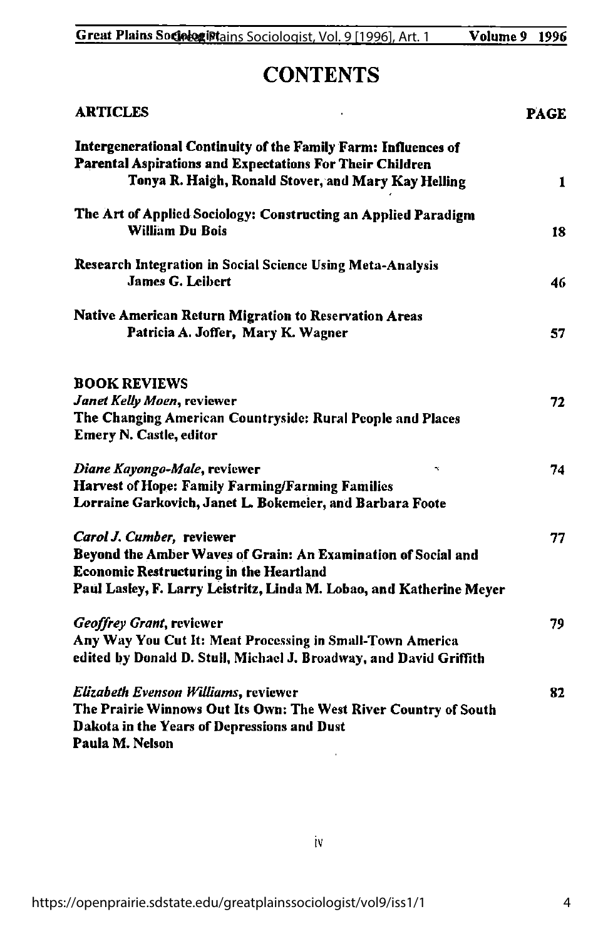## **CONTENTS**

| <b>ARTICLES</b>                                                                                                                                                                                                      |    |
|----------------------------------------------------------------------------------------------------------------------------------------------------------------------------------------------------------------------|----|
| Intergenerational Continuity of the Family Farm: Influences of<br>Parental Aspirations and Expectations For Their Children<br>Tonya R. Haigh, Ronald Stover, and Mary Kay Helling                                    | 1  |
| The Art of Applied Sociology: Constructing an Applied Paradigm<br><b>William Du Bois</b>                                                                                                                             | 18 |
| <b>Research Integration in Social Science Using Meta-Analysis</b><br><b>James G. Leibert</b>                                                                                                                         | 46 |
| <b>Native American Return Migration to Reservation Areas</b><br>Patricia A. Joffer, Mary K. Wagner                                                                                                                   | 57 |
| <b>BOOK REVIEWS</b><br>Janet Kelly Moen, reviewer<br>The Changing American Countryside: Rural People and Places<br><b>Emery N. Castle, editor</b>                                                                    | 72 |
| Diane Kayongo-Male, reviewer<br>x<br><b>Harvest of Hope: Family Farming/Farming Families</b><br>Lorraine Garkovich, Janet L. Bokemeier, and Barbara Foote                                                            | 74 |
| Carol J. Cumber, reviewer<br>Beyond the Amber Waves of Grain: An Examination of Social and<br><b>Economic Restructuring in the Heartland</b><br>Paul Lasley, F. Larry Leistritz, Linda M. Lobao, and Katherine Meyer | 77 |
| Geoffrey Grant, reviewer<br>Any Way You Cut It: Meat Processing in Small-Town America<br>edited by Donald D. Stull, Michael J. Broadway, and David Griffith                                                          | 79 |
| <b>Elizabeth Evenson Williams, reviewer</b><br>The Prairie Winnows Out Its Own: The West River Country of South<br>Dakota in the Years of Depressions and Dust<br>Paula M. Nelson                                    | 82 |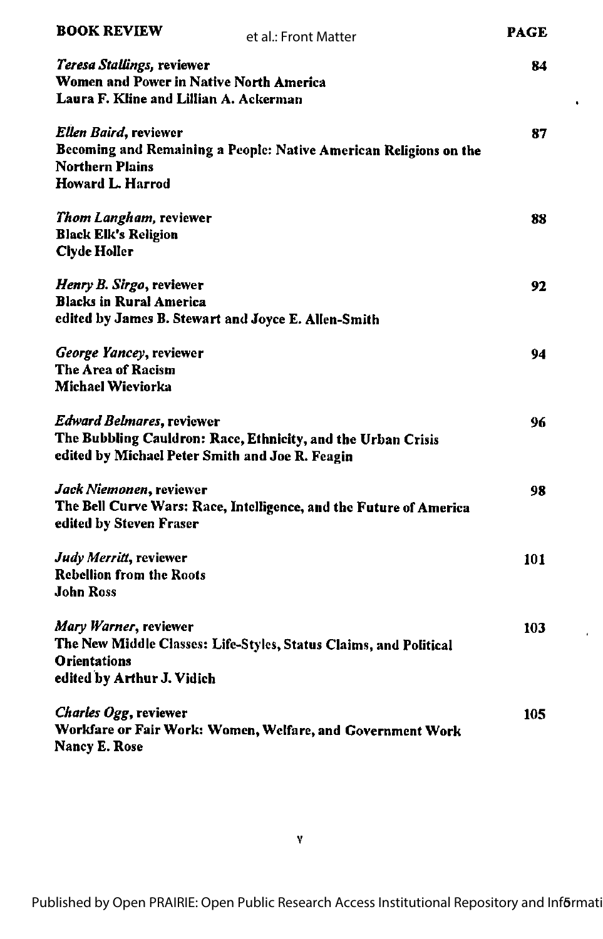| <b>BOOK REVIEW</b>                                                                                                | et al.: Front Matter                                               | <b>PAGE</b> |
|-------------------------------------------------------------------------------------------------------------------|--------------------------------------------------------------------|-------------|
| Teresa Stallings, reviewer<br>Women and Power in Native North America<br>Laura F. Kline and Lillian A. Ackerman   |                                                                    | 84          |
| Ellen Baird, reviewer<br><b>Northern Plains</b><br><b>Howard L. Harrod</b>                                        | Becoming and Remaining a People: Native American Religions on the  | 87          |
| Thom Langham, reviewer<br><b>Black Elk's Religion</b><br>Clyde Holler                                             |                                                                    | 88          |
| Henry B. Sirgo, reviewer<br><b>Blacks in Rural America</b><br>edited by James B. Stewart and Joyce E. Allen-Smith |                                                                    | 92          |
| George Yancey, reviewer<br>The Area of Racism<br>Michael Wieviorka                                                |                                                                    | 94          |
| <b>Edward Belmares, reviewer</b><br>edited by Michael Peter Smith and Joe R. Feagin                               | The Bubbling Cauldron: Race, Ethnicity, and the Urban Crisis       | 96          |
| Jack Niemonen, reviewer<br>edited by Steven Fraser                                                                | The Bell Curve Wars: Race, Intelligence, and the Future of America | 98          |
| Judy Merritt, reviewer<br><b>Rebellion from the Roots</b><br><b>John Ross</b>                                     |                                                                    | 101         |
| Mary Warner, reviewer<br><b>Orientations</b><br>edited by Arthur J. Vidich                                        | The New Middle Classes: Life-Styles, Status Claims, and Political  | 103         |
| Charles Ogg, reviewer<br><b>Nancy E. Rose</b>                                                                     | Workfare or Fair Work: Women, Welfare, and Government Work         | 105         |